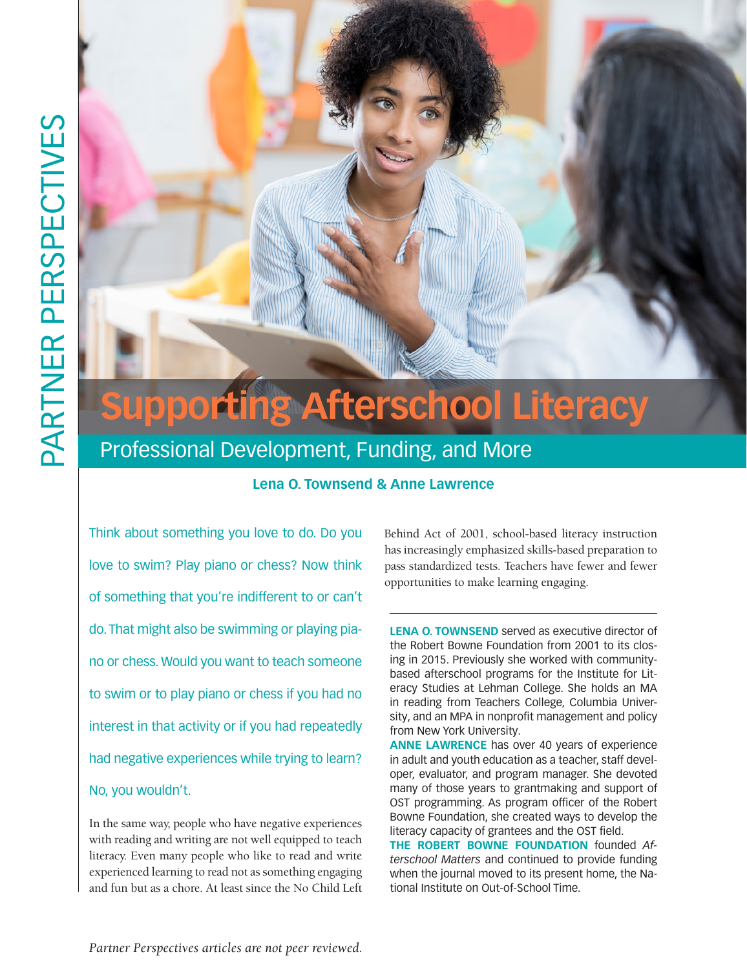

# Professional Development, Funding, and More

### **Lena O. Townsend & Anne Lawrence**

Think about something you love to do. Do you love to swim? Play piano or chess? Now think of something that you're indifferent to or can't do. That might also be swimming or playing piano or chess. Would you want to teach someone to swim or to play piano or chess if you had no interest in that activity or if you had repeatedly had negative experiences while trying to learn? No, you wouldn't.

In the same way, people who have negative experiences with reading and writing are not well equipped to teach literacy. Even many people who like to read and write experienced learning to read not as something engaging and fun but as a chore. At least since the No Child Left

Behind Act of 2001, school-based literacy instruction has increasingly emphasized skills-based preparation to pass standardized tests. Teachers have fewer and fewer opportunities to make learning engaging.

**LENA O. TOWNSEND** served as executive director of the Robert Bowne Foundation from 2001 to its closing in 2015. Previously she worked with communitybased afterschool programs for the Institute for Literacy Studies at Lehman College. She holds an MA in reading from Teachers College, Columbia University, and an MPA in nonprofit management and policy from New York University.

**ANNE LAWRENCE** has over 40 years of experience in adult and youth education as a teacher, staff developer, evaluator, and program manager. She devoted many of those years to grantmaking and support of OST programming. As program officer of the Robert Bowne Foundation, she created ways to develop the literacy capacity of grantees and the OST field.

**THE ROBERT BOWNE FOUNDATION** founded *Afterschool Matters* and continued to provide funding when the journal moved to its present home, the National Institute on Out-of-School Time.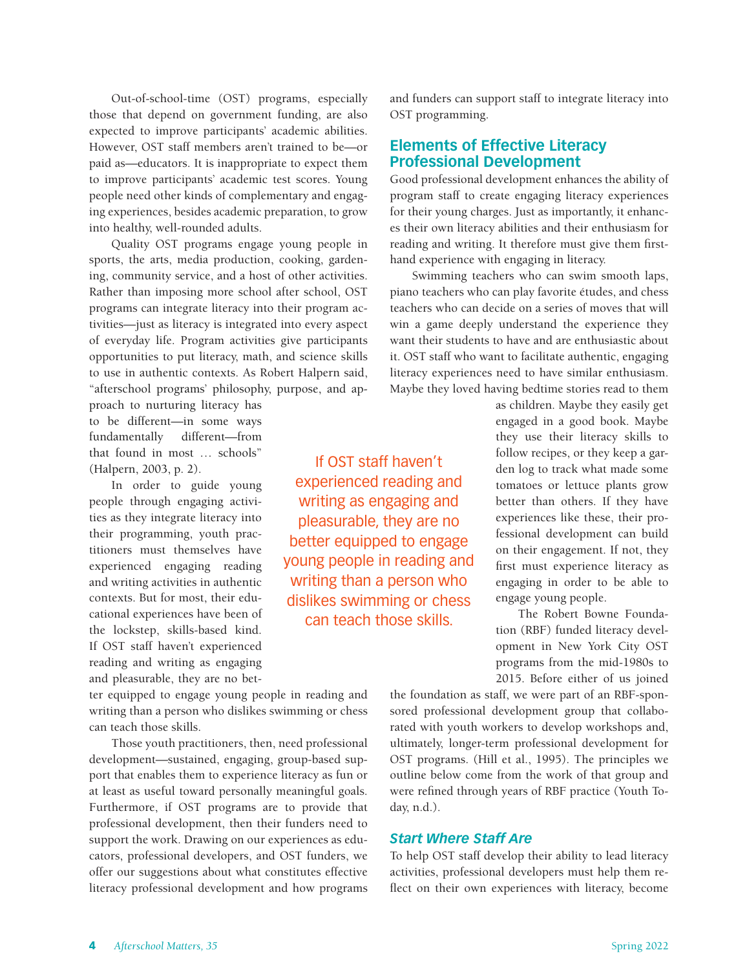Out-of-school-time (OST) programs, especially those that depend on government funding, are also expected to improve participants' academic abilities. However, OST staff members aren't trained to be—or paid as—educators. It is inappropriate to expect them to improve participants' academic test scores. Young people need other kinds of complementary and engaging experiences, besides academic preparation, to grow into healthy, well-rounded adults.

Quality OST programs engage young people in sports, the arts, media production, cooking, gardening, community service, and a host of other activities. Rather than imposing more school after school, OST programs can integrate literacy into their program activities—just as literacy is integrated into every aspect of everyday life. Program activities give participants opportunities to put literacy, math, and science skills to use in authentic contexts. As Robert Halpern said, "afterschool programs' philosophy, purpose, and ap-

proach to nurturing literacy has to be different—in some ways fundamentally different—from that found in most … schools" (Halpern, 2003, p. 2).

In order to guide young people through engaging activities as they integrate literacy into their programming, youth practitioners must themselves have experienced engaging reading and writing activities in authentic contexts. But for most, their educational experiences have been of the lockstep, skills-based kind. If OST staff haven't experienced reading and writing as engaging and pleasurable, they are no bet-

ter equipped to engage young people in reading and writing than a person who dislikes swimming or chess can teach those skills.

Those youth practitioners, then, need professional development—sustained, engaging, group-based support that enables them to experience literacy as fun or at least as useful toward personally meaningful goals. Furthermore, if OST programs are to provide that professional development, then their funders need to support the work. Drawing on our experiences as educators, professional developers, and OST funders, we offer our suggestions about what constitutes effective literacy professional development and how programs and funders can support staff to integrate literacy into OST programming.

## **Elements of Effective Literacy Professional Development**

Good professional development enhances the ability of program staff to create engaging literacy experiences for their young charges. Just as importantly, it enhances their own literacy abilities and their enthusiasm for reading and writing. It therefore must give them firsthand experience with engaging in literacy.

Swimming teachers who can swim smooth laps, piano teachers who can play favorite études, and chess teachers who can decide on a series of moves that will win a game deeply understand the experience they want their students to have and are enthusiastic about it. OST staff who want to facilitate authentic, engaging literacy experiences need to have similar enthusiasm. Maybe they loved having bedtime stories read to them

If OST staff haven't experienced reading and writing as engaging and pleasurable, they are no better equipped to engage young people in reading and writing than a person who dislikes swimming or chess can teach those skills.

as children. Maybe they easily get engaged in a good book. Maybe they use their literacy skills to follow recipes, or they keep a garden log to track what made some tomatoes or lettuce plants grow better than others. If they have experiences like these, their professional development can build on their engagement. If not, they first must experience literacy as engaging in order to be able to engage young people.

The Robert Bowne Foundation (RBF) funded literacy development in New York City OST programs from the mid-1980s to 2015. Before either of us joined

the foundation as staff, we were part of an RBF-sponsored professional development group that collaborated with youth workers to develop workshops and, ultimately, longer-term professional development for OST programs. (Hill et al., 1995). The principles we outline below come from the work of that group and were refined through years of RBF practice (Youth Today, n.d.).

#### *Start Where Staff Are*

To help OST staff develop their ability to lead literacy activities, professional developers must help them reflect on their own experiences with literacy, become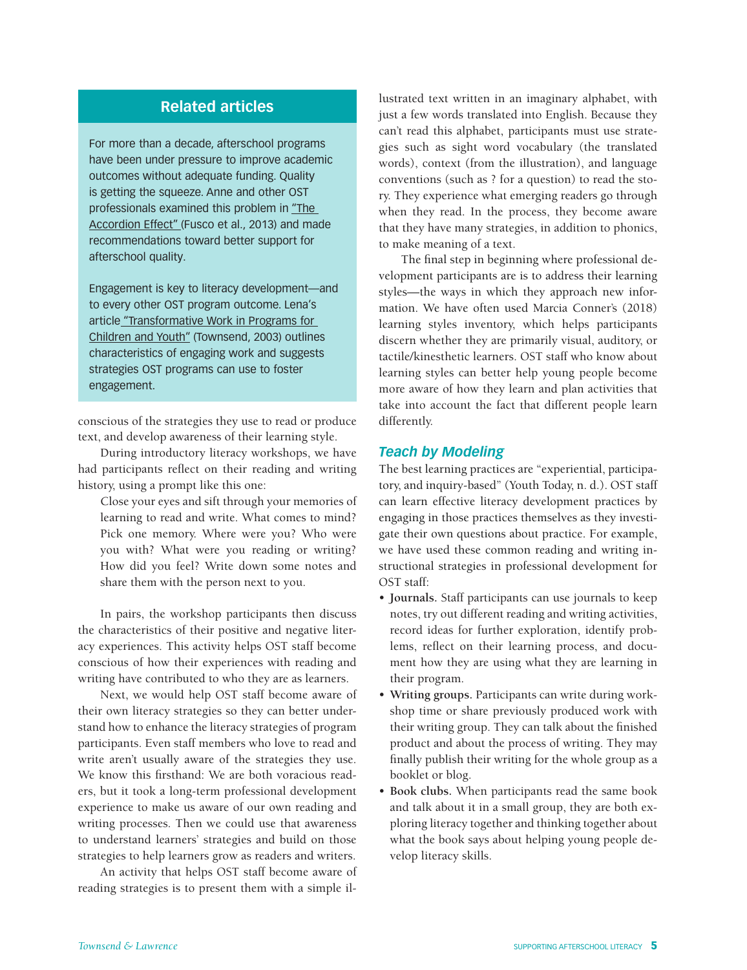# **Related articles**

For more than a decade, afterschool programs have been under pressure to improve academic outcomes without adequate funding. Quality is getting the squeeze. Anne and other OST professionals examined this problem in "The Accordion Effect" (Fusco et al., 2013) and made recommendations toward better support for afterschool quality.

Engagement is key to literacy development—and to every other OST program outcome. Lena's article "Transformative Work in Programs for Children and Youth" (Townsend, 2003) outlines characteristics of engaging work and suggests strategies OST programs can use to foster engagement.

conscious of the strategies they use to read or produce text, and develop awareness of their learning style.

During introductory literacy workshops, we have had participants reflect on their reading and writing history, using a prompt like this one:

Close your eyes and sift through your memories of learning to read and write. What comes to mind? Pick one memory. Where were you? Who were you with? What were you reading or writing? How did you feel? Write down some notes and share them with the person next to you.

In pairs, the workshop participants then discuss the characteristics of their positive and negative literacy experiences. This activity helps OST staff become conscious of how their experiences with reading and writing have contributed to who they are as learners.

Next, we would help OST staff become aware of their own literacy strategies so they can better understand how to enhance the literacy strategies of program participants. Even staff members who love to read and write aren't usually aware of the strategies they use. We know this firsthand: We are both voracious readers, but it took a long-term professional development experience to make us aware of our own reading and writing processes. Then we could use that awareness to understand learners' strategies and build on those strategies to help learners grow as readers and writers.

An activity that helps OST staff become aware of reading strategies is to present them with a simple illustrated text written in an imaginary alphabet, with just a few words translated into English. Because they can't read this alphabet, participants must use strategies such as sight word vocabulary (the translated words), context (from the illustration), and language conventions (such as ? for a question) to read the story. They experience what emerging readers go through when they read. In the process, they become aware that they have many strategies, in addition to phonics, to make meaning of a text.

The final step in beginning where professional development participants are is to address their learning styles—the ways in which they approach new information. We have often used Marcia Conner's (2018) learning styles inventory, which helps participants discern whether they are primarily visual, auditory, or tactile/kinesthetic learners. OST staff who know about learning styles can better help young people become more aware of how they learn and plan activities that take into account the fact that different people learn differently.

#### *Teach by Modeling*

The best learning practices are "experiential, participatory, and inquiry-based" (Youth Today, n. d.). OST staff can learn effective literacy development practices by engaging in those practices themselves as they investigate their own questions about practice. For example, we have used these common reading and writing instructional strategies in professional development for OST staff:

- **Journals.** Staff participants can use journals to keep notes, try out different reading and writing activities, record ideas for further exploration, identify problems, reflect on their learning process, and document how they are using what they are learning in their program.
- **Writing groups.** Participants can write during workshop time or share previously produced work with their writing group. They can talk about the finished product and about the process of writing. They may finally publish their writing for the whole group as a booklet or blog.
- **Book clubs.** When participants read the same book and talk about it in a small group, they are both exploring literacy together and thinking together about what the book says about helping young people develop literacy skills.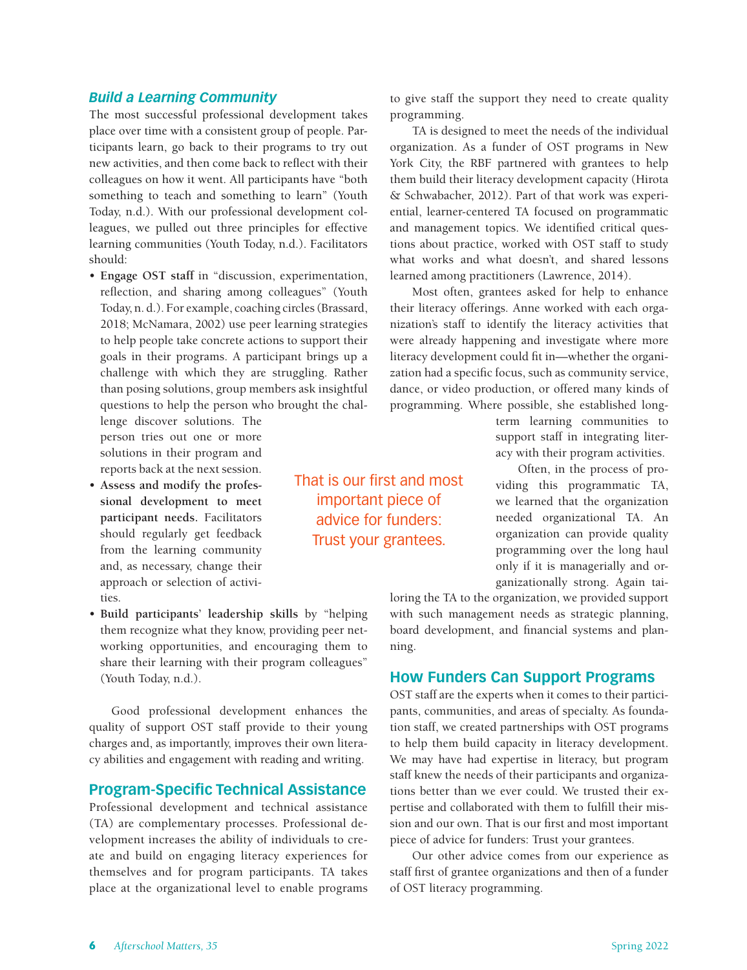#### *Build a Learning Community*

The most successful professional development takes place over time with a consistent group of people. Participants learn, go back to their programs to try out new activities, and then come back to reflect with their colleagues on how it went. All participants have "both something to teach and something to learn" (Youth Today, n.d.). With our professional development colleagues, we pulled out three principles for effective learning communities (Youth Today, n.d.). Facilitators should:

• **Engage OST staff** in "discussion, experimentation, reflection, and sharing among colleagues" (Youth Today, n. d.). For example, coaching circles (Brassard, 2018; McNamara, 2002) use peer learning strategies to help people take concrete actions to support their goals in their programs. A participant brings up a challenge with which they are struggling. Rather than posing solutions, group members ask insightful questions to help the person who brought the chal-

lenge discover solutions. The person tries out one or more solutions in their program and reports back at the next session.

- **Assess and modify the professional development to meet participant needs.** Facilitators should regularly get feedback from the learning community and, as necessary, change their approach or selection of activities.
- **Build participants' leadership skills** by "helping them recognize what they know, providing peer networking opportunities, and encouraging them to share their learning with their program colleagues" (Youth Today, n.d.).

Good professional development enhances the quality of support OST staff provide to their young charges and, as importantly, improves their own literacy abilities and engagement with reading and writing.

## **Program-Specific Technical Assistance**

Professional development and technical assistance (TA) are complementary processes. Professional development increases the ability of individuals to create and build on engaging literacy experiences for themselves and for program participants. TA takes place at the organizational level to enable programs

to give staff the support they need to create quality programming.

TA is designed to meet the needs of the individual organization. As a funder of OST programs in New York City, the RBF partnered with grantees to help them build their literacy development capacity (Hirota & Schwabacher, 2012). Part of that work was experiential, learner-centered TA focused on programmatic and management topics. We identified critical questions about practice, worked with OST staff to study what works and what doesn't, and shared lessons learned among practitioners (Lawrence, 2014).

Most often, grantees asked for help to enhance their literacy offerings. Anne worked with each organization's staff to identify the literacy activities that were already happening and investigate where more literacy development could fit in—whether the organization had a specific focus, such as community service, dance, or video production, or offered many kinds of programming. Where possible, she established long-

> term learning communities to support staff in integrating literacy with their program activities.

> Often, in the process of providing this programmatic TA, we learned that the organization needed organizational TA. An organization can provide quality programming over the long haul only if it is managerially and organizationally strong. Again tai-

loring the TA to the organization, we provided support with such management needs as strategic planning, board development, and financial systems and planning.

### **How Funders Can Support Programs**

OST staff are the experts when it comes to their participants, communities, and areas of specialty. As foundation staff, we created partnerships with OST programs to help them build capacity in literacy development. We may have had expertise in literacy, but program staff knew the needs of their participants and organizations better than we ever could. We trusted their expertise and collaborated with them to fulfill their mission and our own. That is our first and most important piece of advice for funders: Trust your grantees.

Our other advice comes from our experience as staff first of grantee organizations and then of a funder of OST literacy programming.

That is our first and most important piece of advice for funders: Trust your grantees.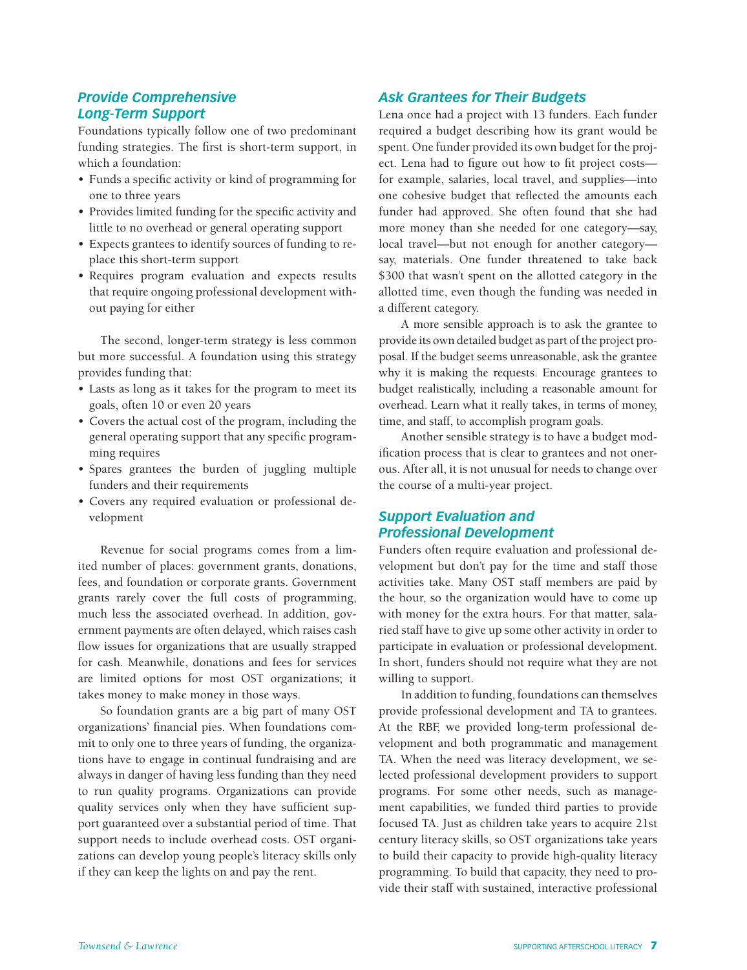### *Provide Comprehensive Long-Term Support*

Foundations typically follow one of two predominant funding strategies. The first is short-term support, in which a foundation:

- Funds a specific activity or kind of programming for one to three years
- Provides limited funding for the specific activity and little to no overhead or general operating support
- Expects grantees to identify sources of funding to replace this short-term support
- Requires program evaluation and expects results that require ongoing professional development without paying for either

The second, longer-term strategy is less common but more successful. A foundation using this strategy provides funding that:

- Lasts as long as it takes for the program to meet its goals, often 10 or even 20 years
- Covers the actual cost of the program, including the general operating support that any specific programming requires
- Spares grantees the burden of juggling multiple funders and their requirements
- Covers any required evaluation or professional development

Revenue for social programs comes from a limited number of places: government grants, donations, fees, and foundation or corporate grants. Government grants rarely cover the full costs of programming, much less the associated overhead. In addition, government payments are often delayed, which raises cash flow issues for organizations that are usually strapped for cash. Meanwhile, donations and fees for services are limited options for most OST organizations; it takes money to make money in those ways.

So foundation grants are a big part of many OST organizations' financial pies. When foundations commit to only one to three years of funding, the organizations have to engage in continual fundraising and are always in danger of having less funding than they need to run quality programs. Organizations can provide quality services only when they have sufficient support guaranteed over a substantial period of time. That support needs to include overhead costs. OST organizations can develop young people's literacy skills only if they can keep the lights on and pay the rent.

#### *Ask Grantees for Their Budgets*

Lena once had a project with 13 funders. Each funder required a budget describing how its grant would be spent. One funder provided its own budget for the project. Lena had to figure out how to fit project costs for example, salaries, local travel, and supplies—into one cohesive budget that reflected the amounts each funder had approved. She often found that she had more money than she needed for one category—say, local travel—but not enough for another category say, materials. One funder threatened to take back \$300 that wasn't spent on the allotted category in the allotted time, even though the funding was needed in a different category.

A more sensible approach is to ask the grantee to provide its own detailed budget as part of the project proposal. If the budget seems unreasonable, ask the grantee why it is making the requests. Encourage grantees to budget realistically, including a reasonable amount for overhead. Learn what it really takes, in terms of money, time, and staff, to accomplish program goals.

Another sensible strategy is to have a budget modification process that is clear to grantees and not onerous. After all, it is not unusual for needs to change over the course of a multi-year project.

# *Support Evaluation and Professional Development*

Funders often require evaluation and professional development but don't pay for the time and staff those activities take. Many OST staff members are paid by the hour, so the organization would have to come up with money for the extra hours. For that matter, salaried staff have to give up some other activity in order to participate in evaluation or professional development. In short, funders should not require what they are not willing to support.

In addition to funding, foundations can themselves provide professional development and TA to grantees. At the RBF, we provided long-term professional development and both programmatic and management TA. When the need was literacy development, we selected professional development providers to support programs. For some other needs, such as management capabilities, we funded third parties to provide focused TA. Just as children take years to acquire 21st century literacy skills, so OST organizations take years to build their capacity to provide high-quality literacy programming. To build that capacity, they need to provide their staff with sustained, interactive professional